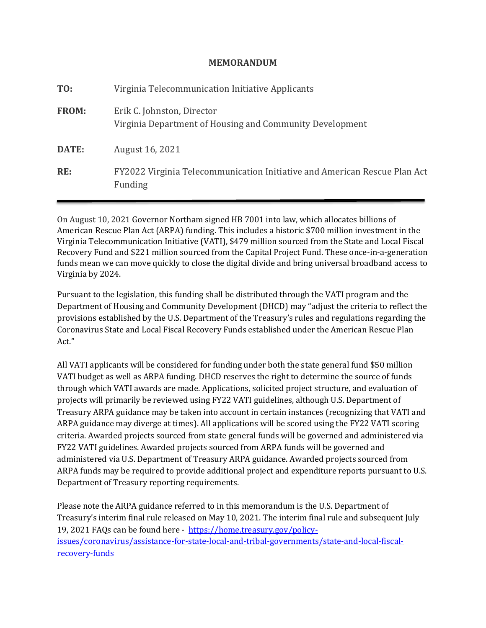## **MEMORANDUM**

| TO:          | Virginia Telecommunication Initiative Applicants                                       |
|--------------|----------------------------------------------------------------------------------------|
| <b>FROM:</b> | Erik C. Johnston, Director<br>Virginia Department of Housing and Community Development |
| DATE:        | August 16, 2021                                                                        |
| RE:          | FY2022 Virginia Telecommunication Initiative and American Rescue Plan Act<br>Funding   |

On August 10, 2021 Governor Northam signed HB 7001 into law, which allocates billions of American Rescue Plan Act (ARPA) funding. This includes a historic \$700 million investment in the Virginia Telecommunication Initiative (VATI), \$479 million sourced from the State and Local Fiscal Recovery Fund and \$221 million sourced from the Capital Project Fund. These once-in-a-generation funds mean we can move quickly to close the digital divide and bring universal broadband access to Virginia by 2024.

Pursuant to the legislation, this funding shall be distributed through the VATI program and the Department of Housing and Community Development (DHCD) may "adjust the criteria to reflect the provisions established by the U.S. Department of the Treasury's rules and regulations regarding the Coronavirus State and Local Fiscal Recovery Funds established under the American Rescue Plan Act."

All VATI applicants will be considered for funding under both the state general fund \$50 million VATI budget as well as ARPA funding. DHCD reserves the right to determine the source of funds through which VATI awards are made. Applications, solicited project structure, and evaluation of projects will primarily be reviewed using FY22 VATI guidelines, although U.S. Department of Treasury ARPA guidance may be taken into account in certain instances (recognizing that VATI and ARPA guidance may diverge at times). All applications will be scored using the FY22 VATI scoring criteria. Awarded projects sourced from state general funds will be governed and administered via FY22 VATI guidelines. Awarded projects sourced from ARPA funds will be governed and administered via U.S. Department of Treasury ARPA guidance. Awarded projects sourced from ARPA funds may be required to provide additional project and expenditure reports pursuant to U.S. Department of Treasury reporting requirements.

Please note the ARPA guidance referred to in this memorandum is the U.S. Department of Treasury's interim final rule released on May 10, 2021. The interim final rule and subsequent July 19, 2021 FAQs can be found here - [https://home.treasury.gov/policy](https://home.treasury.gov/policy-issues/coronavirus/assistance-for-state-local-and-tribal-governments/state-and-local-fiscal-recovery-funds)[issues/coronavirus/assistance-for-state-local-and-tribal-governments/state-and-local-fiscal](https://home.treasury.gov/policy-issues/coronavirus/assistance-for-state-local-and-tribal-governments/state-and-local-fiscal-recovery-funds)[recovery-funds](https://home.treasury.gov/policy-issues/coronavirus/assistance-for-state-local-and-tribal-governments/state-and-local-fiscal-recovery-funds)